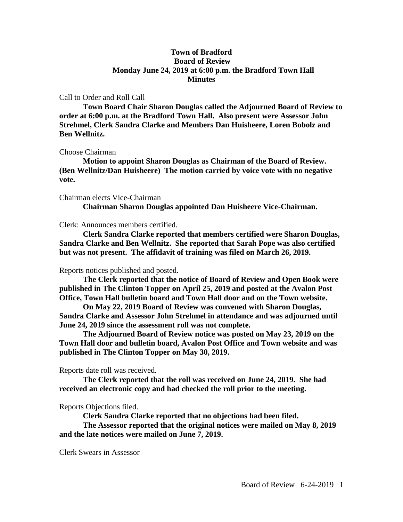# **Town of Bradford Board of Review Monday June 24, 2019 at 6:00 p.m. the Bradford Town Hall Minutes**

## Call to Order and Roll Call

**Town Board Chair Sharon Douglas called the Adjourned Board of Review to order at 6:00 p.m. at the Bradford Town Hall. Also present were Assessor John Strehmel, Clerk Sandra Clarke and Members Dan Huisheere, Loren Bobolz and Ben Wellnitz.**

#### Choose Chairman

**Motion to appoint Sharon Douglas as Chairman of the Board of Review. (Ben Wellnitz/Dan Huisheere) The motion carried by voice vote with no negative vote.**

#### Chairman elects Vice-Chairman

**Chairman Sharon Douglas appointed Dan Huisheere Vice-Chairman.**

## Clerk: Announces members certified.

**Clerk Sandra Clarke reported that members certified were Sharon Douglas, Sandra Clarke and Ben Wellnitz. She reported that Sarah Pope was also certified but was not present. The affidavit of training was filed on March 26, 2019.**

## Reports notices published and posted.

**The Clerk reported that the notice of Board of Review and Open Book were published in The Clinton Topper on April 25, 2019 and posted at the Avalon Post Office, Town Hall bulletin board and Town Hall door and on the Town website.**

**On May 22, 2019 Board of Review was convened with Sharon Douglas, Sandra Clarke and Assessor John Strehmel in attendance and was adjourned until June 24, 2019 since the assessment roll was not complete.**

**The Adjourned Board of Review notice was posted on May 23, 2019 on the Town Hall door and bulletin board, Avalon Post Office and Town website and was published in The Clinton Topper on May 30, 2019.**

Reports date roll was received.

**The Clerk reported that the roll was received on June 24, 2019. She had received an electronic copy and had checked the roll prior to the meeting.**

## Reports Objections filed.

**Clerk Sandra Clarke reported that no objections had been filed.**

**The Assessor reported that the original notices were mailed on May 8, 2019 and the late notices were mailed on June 7, 2019.**

Clerk Swears in Assessor